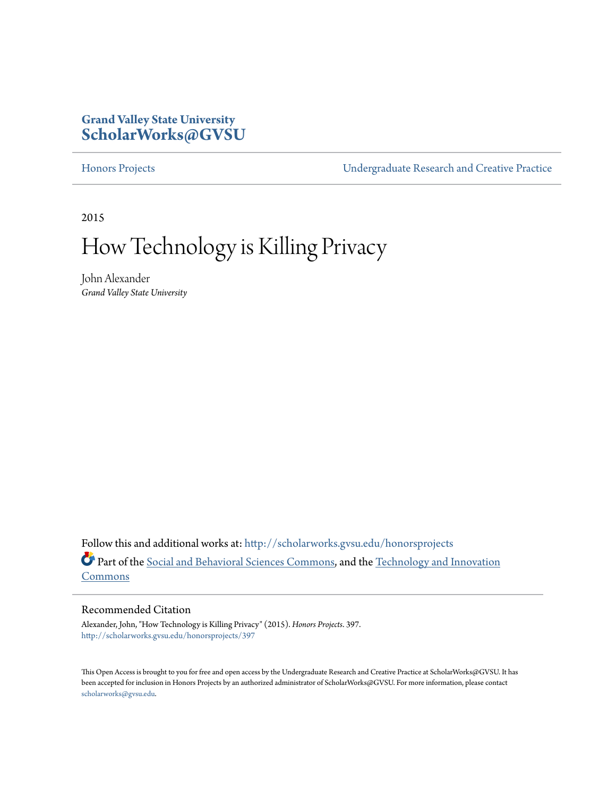### **Grand Valley State University [ScholarWorks@GVSU](http://scholarworks.gvsu.edu?utm_source=scholarworks.gvsu.edu%2Fhonorsprojects%2F397&utm_medium=PDF&utm_campaign=PDFCoverPages)**

[Honors Projects](http://scholarworks.gvsu.edu/honorsprojects?utm_source=scholarworks.gvsu.edu%2Fhonorsprojects%2F397&utm_medium=PDF&utm_campaign=PDFCoverPages) [Undergraduate Research and Creative Practice](http://scholarworks.gvsu.edu/urcp?utm_source=scholarworks.gvsu.edu%2Fhonorsprojects%2F397&utm_medium=PDF&utm_campaign=PDFCoverPages)

2015

## How Technology is Killing Privacy

John Alexander *Grand Valley State University*

Follow this and additional works at: [http://scholarworks.gvsu.edu/honorsprojects](http://scholarworks.gvsu.edu/honorsprojects?utm_source=scholarworks.gvsu.edu%2Fhonorsprojects%2F397&utm_medium=PDF&utm_campaign=PDFCoverPages) Part of the [Social and Behavioral Sciences Commons,](http://network.bepress.com/hgg/discipline/316?utm_source=scholarworks.gvsu.edu%2Fhonorsprojects%2F397&utm_medium=PDF&utm_campaign=PDFCoverPages) and the [Technology and Innovation](http://network.bepress.com/hgg/discipline/644?utm_source=scholarworks.gvsu.edu%2Fhonorsprojects%2F397&utm_medium=PDF&utm_campaign=PDFCoverPages) [Commons](http://network.bepress.com/hgg/discipline/644?utm_source=scholarworks.gvsu.edu%2Fhonorsprojects%2F397&utm_medium=PDF&utm_campaign=PDFCoverPages)

#### Recommended Citation

Alexander, John, "How Technology is Killing Privacy" (2015). *Honors Projects*. 397. [http://scholarworks.gvsu.edu/honorsprojects/397](http://scholarworks.gvsu.edu/honorsprojects/397?utm_source=scholarworks.gvsu.edu%2Fhonorsprojects%2F397&utm_medium=PDF&utm_campaign=PDFCoverPages)

This Open Access is brought to you for free and open access by the Undergraduate Research and Creative Practice at ScholarWorks@GVSU. It has been accepted for inclusion in Honors Projects by an authorized administrator of ScholarWorks@GVSU. For more information, please contact [scholarworks@gvsu.edu](mailto:scholarworks@gvsu.edu).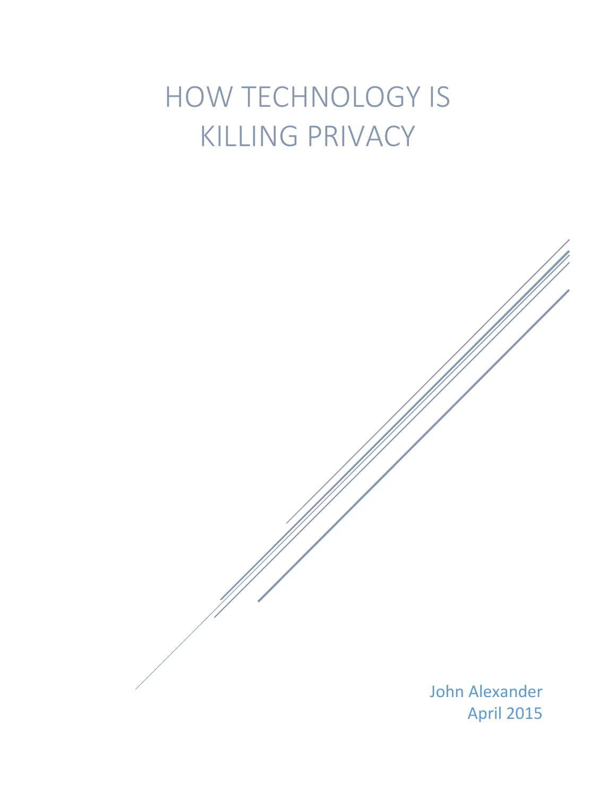# HOW TECHNOLOGY IS KILLING PRIVACY

John Alexander April 2015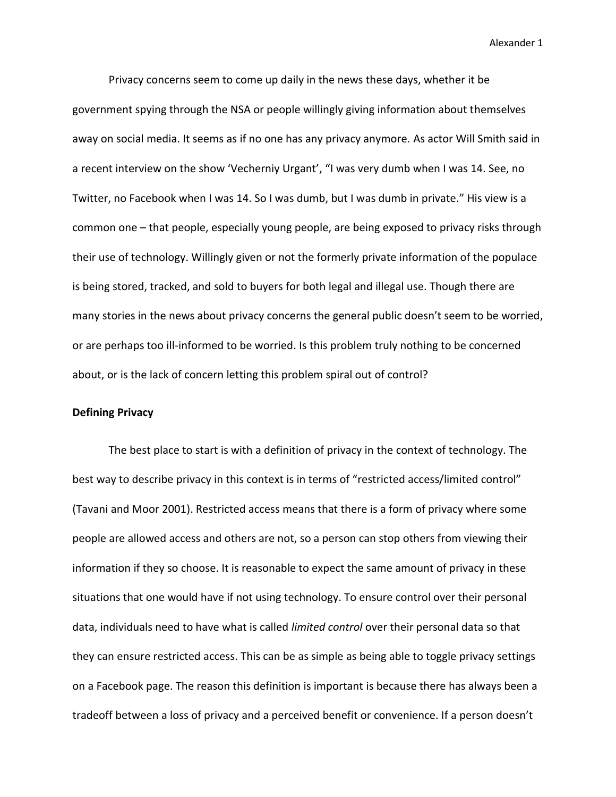Privacy concerns seem to come up daily in the news these days, whether it be government spying through the NSA or people willingly giving information about themselves away on social media. It seems as if no one has any privacy anymore. As actor Will Smith said in a recent interview on the show 'Vecherniy Urgant', "I was very dumb when I was 14. See, no Twitter, no Facebook when I was 14. So I was dumb, but I was dumb in private." His view is a common one – that people, especially young people, are being exposed to privacy risks through their use of technology. Willingly given or not the formerly private information of the populace is being stored, tracked, and sold to buyers for both legal and illegal use. Though there are many stories in the news about privacy concerns the general public doesn't seem to be worried, or are perhaps too ill-informed to be worried. Is this problem truly nothing to be concerned about, or is the lack of concern letting this problem spiral out of control?

#### **Defining Privacy**

The best place to start is with a definition of privacy in the context of technology. The best way to describe privacy in this context is in terms of "restricted access/limited control" (Tavani and Moor 2001). Restricted access means that there is a form of privacy where some people are allowed access and others are not, so a person can stop others from viewing their information if they so choose. It is reasonable to expect the same amount of privacy in these situations that one would have if not using technology. To ensure control over their personal data, individuals need to have what is called *limited control* over their personal data so that they can ensure restricted access. This can be as simple as being able to toggle privacy settings on a Facebook page. The reason this definition is important is because there has always been a tradeoff between a loss of privacy and a perceived benefit or convenience. If a person doesn't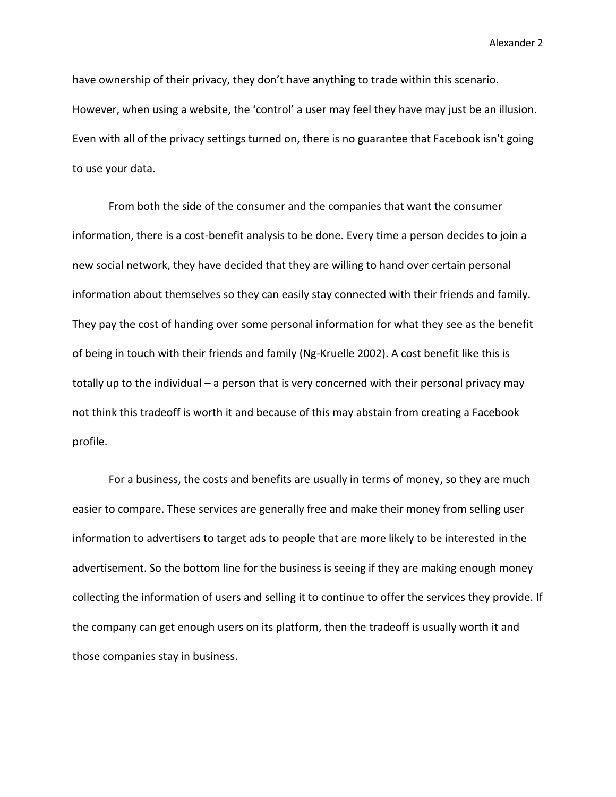have ownership of their privacy, they don't have anything to trade within this scenario. However, when using a website, the 'control' a user may feel they have may just be an illusion. Even with all of the privacy settings turned on, there is no guarantee that Facebook isn't going to use your data.

From both the side of the consumer and the companies that want the consumer information, there is a cost-benefit analysis to be done. Every time a person decides to join a new social network, they have decided that they are willing to hand over certain personal information about themselves so they can easily stay connected with their friends and family. They pay the cost of handing over some personal information for what they see as the benefit of being in touch with their friends and family (Ng-Kruelle 2002). A cost benefit like this is totally up to the individual – a person that is very concerned with their personal privacy may not think this tradeoff is worth it and because of this may abstain from creating a Facebook profile.

For a business, the costs and benefits are usually in terms of money, so they are much easier to compare. These services are generally free and make their money from selling user information to advertisers to target ads to people that are more likely to be interested in the advertisement. So the bottom line for the business is seeing if they are making enough money collecting the information of users and selling it to continue to offer the services they provide. If the company can get enough users on its platform, then the tradeoff is usually worth it and those companies stay in business.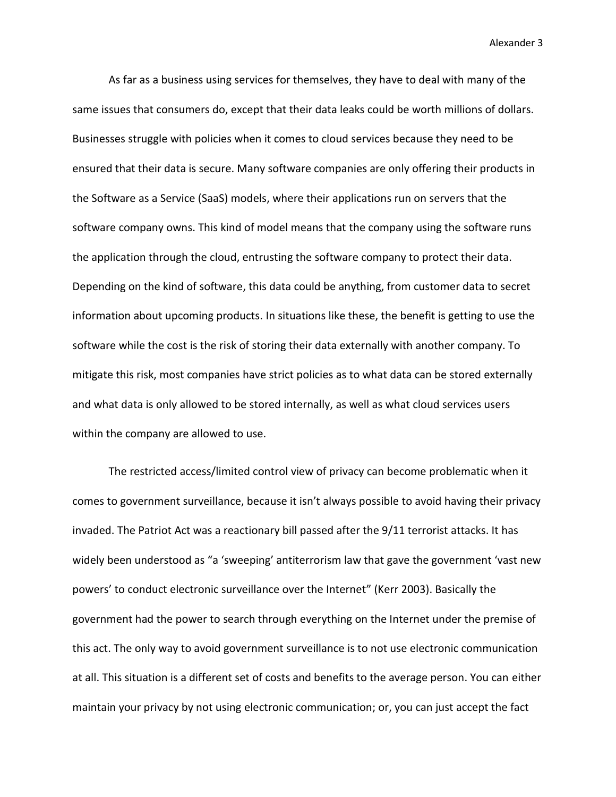As far as a business using services for themselves, they have to deal with many of the same issues that consumers do, except that their data leaks could be worth millions of dollars. Businesses struggle with policies when it comes to cloud services because they need to be ensured that their data is secure. Many software companies are only offering their products in the Software as a Service (SaaS) models, where their applications run on servers that the software company owns. This kind of model means that the company using the software runs the application through the cloud, entrusting the software company to protect their data. Depending on the kind of software, this data could be anything, from customer data to secret information about upcoming products. In situations like these, the benefit is getting to use the software while the cost is the risk of storing their data externally with another company. To mitigate this risk, most companies have strict policies as to what data can be stored externally and what data is only allowed to be stored internally, as well as what cloud services users within the company are allowed to use.

The restricted access/limited control view of privacy can become problematic when it comes to government surveillance, because it isn't always possible to avoid having their privacy invaded. The Patriot Act was a reactionary bill passed after the 9/11 terrorist attacks. It has widely been understood as "a 'sweeping' antiterrorism law that gave the government 'vast new powers' to conduct electronic surveillance over the Internet" (Kerr 2003). Basically the government had the power to search through everything on the Internet under the premise of this act. The only way to avoid government surveillance is to not use electronic communication at all. This situation is a different set of costs and benefits to the average person. You can either maintain your privacy by not using electronic communication; or, you can just accept the fact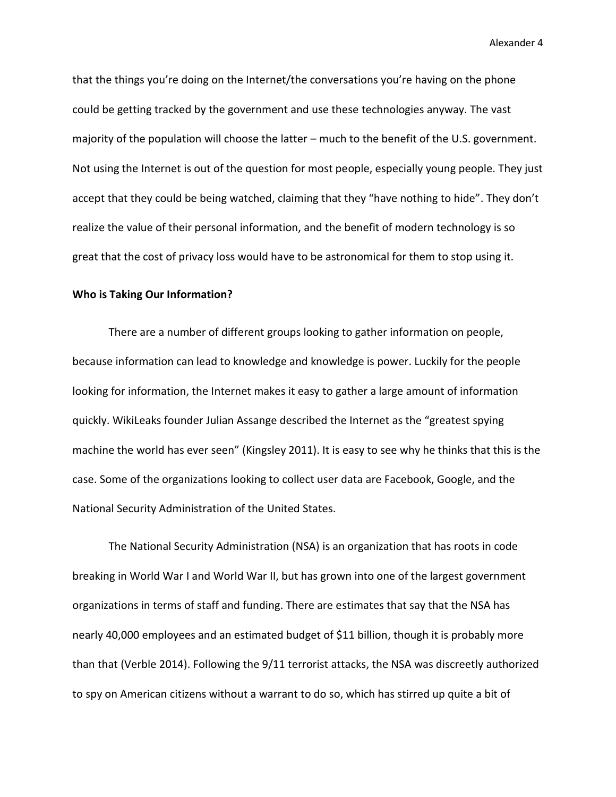that the things you're doing on the Internet/the conversations you're having on the phone could be getting tracked by the government and use these technologies anyway. The vast majority of the population will choose the latter – much to the benefit of the U.S. government. Not using the Internet is out of the question for most people, especially young people. They just accept that they could be being watched, claiming that they "have nothing to hide". They don't realize the value of their personal information, and the benefit of modern technology is so great that the cost of privacy loss would have to be astronomical for them to stop using it.

#### **Who is Taking Our Information?**

There are a number of different groups looking to gather information on people, because information can lead to knowledge and knowledge is power. Luckily for the people looking for information, the Internet makes it easy to gather a large amount of information quickly. WikiLeaks founder Julian Assange described the Internet as the "greatest spying machine the world has ever seen" (Kingsley 2011). It is easy to see why he thinks that this is the case. Some of the organizations looking to collect user data are Facebook, Google, and the National Security Administration of the United States.

The National Security Administration (NSA) is an organization that has roots in code breaking in World War I and World War II, but has grown into one of the largest government organizations in terms of staff and funding. There are estimates that say that the NSA has nearly 40,000 employees and an estimated budget of \$11 billion, though it is probably more than that (Verble 2014). Following the 9/11 terrorist attacks, the NSA was discreetly authorized to spy on American citizens without a warrant to do so, which has stirred up quite a bit of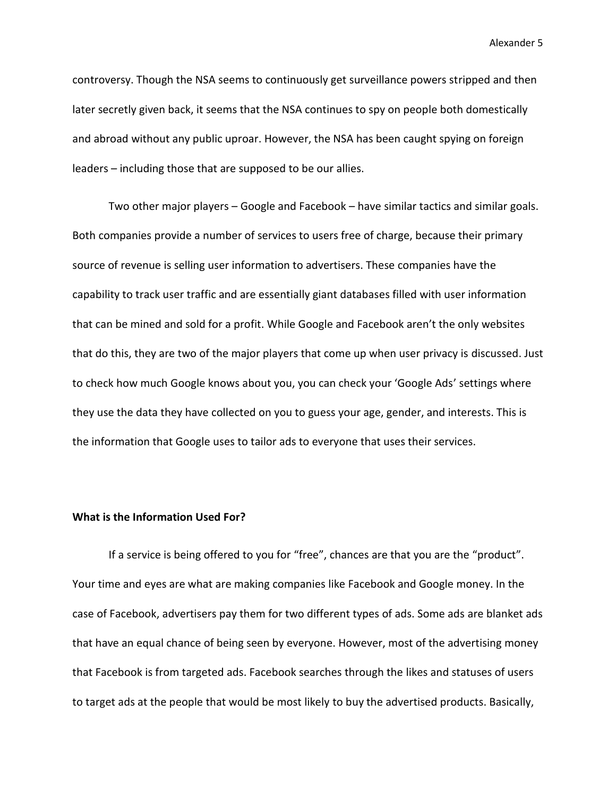controversy. Though the NSA seems to continuously get surveillance powers stripped and then later secretly given back, it seems that the NSA continues to spy on people both domestically and abroad without any public uproar. However, the NSA has been caught spying on foreign leaders – including those that are supposed to be our allies.

Two other major players – Google and Facebook – have similar tactics and similar goals. Both companies provide a number of services to users free of charge, because their primary source of revenue is selling user information to advertisers. These companies have the capability to track user traffic and are essentially giant databases filled with user information that can be mined and sold for a profit. While Google and Facebook aren't the only websites that do this, they are two of the major players that come up when user privacy is discussed. Just to check how much Google knows about you, you can check your 'Google Ads' settings where they use the data they have collected on you to guess your age, gender, and interests. This is the information that Google uses to tailor ads to everyone that uses their services.

#### **What is the Information Used For?**

If a service is being offered to you for "free", chances are that you are the "product". Your time and eyes are what are making companies like Facebook and Google money. In the case of Facebook, advertisers pay them for two different types of ads. Some ads are blanket ads that have an equal chance of being seen by everyone. However, most of the advertising money that Facebook is from targeted ads. Facebook searches through the likes and statuses of users to target ads at the people that would be most likely to buy the advertised products. Basically,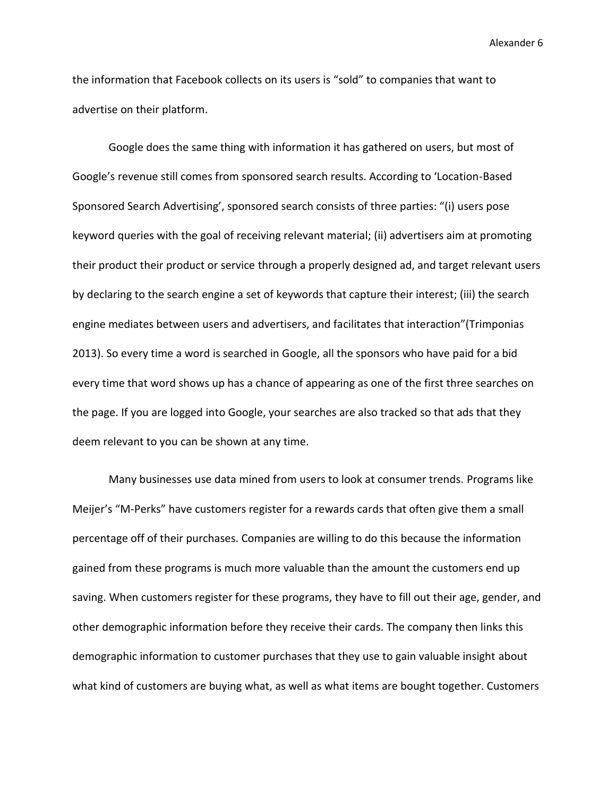the information that Facebook collects on its users is "sold" to companies that want to advertise on their platform.

Google does the same thing with information it has gathered on users, but most of Google's revenue still comes from sponsored search results. According to 'Location-Based Sponsored Search Advertising', sponsored search consists of three parties: "(i) users pose keyword queries with the goal of receiving relevant material; (ii) advertisers aim at promoting their product their product or service through a properly designed ad, and target relevant users by declaring to the search engine a set of keywords that capture their interest; (iii) the search engine mediates between users and advertisers, and facilitates that interaction"(Trimponias 2013). So every time a word is searched in Google, all the sponsors who have paid for a bid every time that word shows up has a chance of appearing as one of the first three searches on the page. If you are logged into Google, your searches are also tracked so that ads that they deem relevant to you can be shown at any time.

Many businesses use data mined from users to look at consumer trends. Programs like Meijer's "M-Perks" have customers register for a rewards cards that often give them a small percentage off of their purchases. Companies are willing to do this because the information gained from these programs is much more valuable than the amount the customers end up saving. When customers register for these programs, they have to fill out their age, gender, and other demographic information before they receive their cards. The company then links this demographic information to customer purchases that they use to gain valuable insight about what kind of customers are buying what, as well as what items are bought together. Customers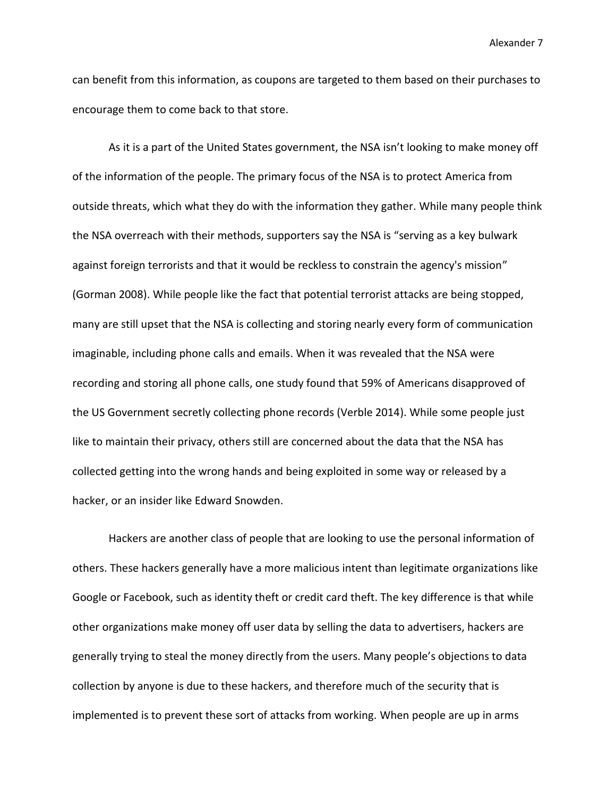can benefit from this information, as coupons are targeted to them based on their purchases to encourage them to come back to that store.

As it is a part of the United States government, the NSA isn't looking to make money off of the information of the people. The primary focus of the NSA is to protect America from outside threats, which what they do with the information they gather. While many people think the NSA overreach with their methods, supporters say the NSA is "serving as a key bulwark against foreign terrorists and that it would be reckless to constrain the agency's mission" (Gorman 2008). While people like the fact that potential terrorist attacks are being stopped, many are still upset that the NSA is collecting and storing nearly every form of communication imaginable, including phone calls and emails. When it was revealed that the NSA were recording and storing all phone calls, one study found that 59% of Americans disapproved of the US Government secretly collecting phone records (Verble 2014). While some people just like to maintain their privacy, others still are concerned about the data that the NSA has collected getting into the wrong hands and being exploited in some way or released by a hacker, or an insider like Edward Snowden.

Hackers are another class of people that are looking to use the personal information of others. These hackers generally have a more malicious intent than legitimate organizations like Google or Facebook, such as identity theft or credit card theft. The key difference is that while other organizations make money off user data by selling the data to advertisers, hackers are generally trying to steal the money directly from the users. Many people's objections to data collection by anyone is due to these hackers, and therefore much of the security that is implemented is to prevent these sort of attacks from working. When people are up in arms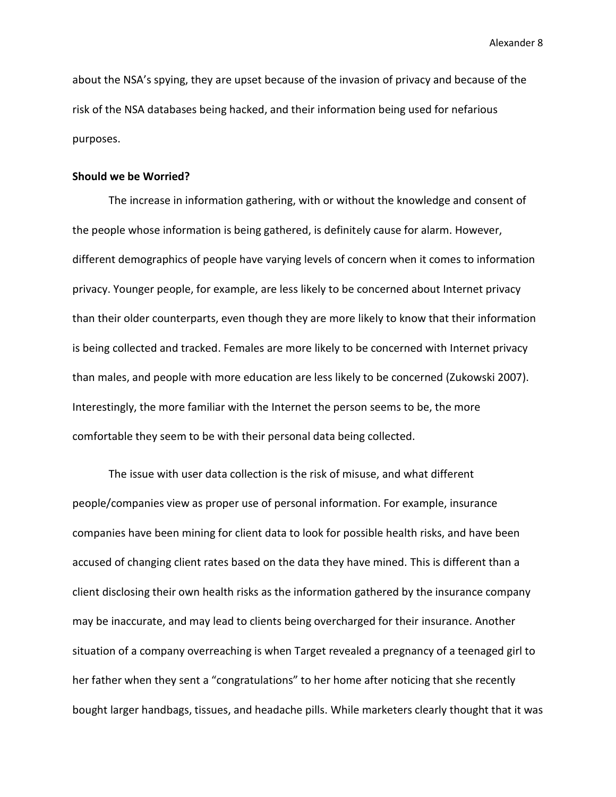about the NSA's spying, they are upset because of the invasion of privacy and because of the risk of the NSA databases being hacked, and their information being used for nefarious purposes.

#### **Should we be Worried?**

The increase in information gathering, with or without the knowledge and consent of the people whose information is being gathered, is definitely cause for alarm. However, different demographics of people have varying levels of concern when it comes to information privacy. Younger people, for example, are less likely to be concerned about Internet privacy than their older counterparts, even though they are more likely to know that their information is being collected and tracked. Females are more likely to be concerned with Internet privacy than males, and people with more education are less likely to be concerned (Zukowski 2007). Interestingly, the more familiar with the Internet the person seems to be, the more comfortable they seem to be with their personal data being collected.

The issue with user data collection is the risk of misuse, and what different people/companies view as proper use of personal information. For example, insurance companies have been mining for client data to look for possible health risks, and have been accused of changing client rates based on the data they have mined. This is different than a client disclosing their own health risks as the information gathered by the insurance company may be inaccurate, and may lead to clients being overcharged for their insurance. Another situation of a company overreaching is when Target revealed a pregnancy of a teenaged girl to her father when they sent a "congratulations" to her home after noticing that she recently bought larger handbags, tissues, and headache pills. While marketers clearly thought that it was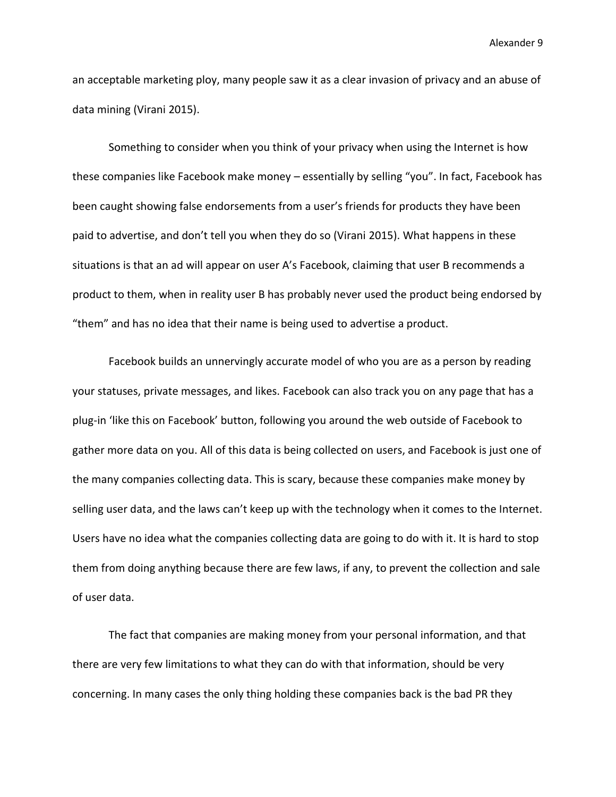an acceptable marketing ploy, many people saw it as a clear invasion of privacy and an abuse of data mining (Virani 2015).

Something to consider when you think of your privacy when using the Internet is how these companies like Facebook make money – essentially by selling "you". In fact, Facebook has been caught showing false endorsements from a user's friends for products they have been paid to advertise, and don't tell you when they do so (Virani 2015). What happens in these situations is that an ad will appear on user A's Facebook, claiming that user B recommends a product to them, when in reality user B has probably never used the product being endorsed by "them" and has no idea that their name is being used to advertise a product.

Facebook builds an unnervingly accurate model of who you are as a person by reading your statuses, private messages, and likes. Facebook can also track you on any page that has a plug-in 'like this on Facebook' button, following you around the web outside of Facebook to gather more data on you. All of this data is being collected on users, and Facebook is just one of the many companies collecting data. This is scary, because these companies make money by selling user data, and the laws can't keep up with the technology when it comes to the Internet. Users have no idea what the companies collecting data are going to do with it. It is hard to stop them from doing anything because there are few laws, if any, to prevent the collection and sale of user data.

The fact that companies are making money from your personal information, and that there are very few limitations to what they can do with that information, should be very concerning. In many cases the only thing holding these companies back is the bad PR they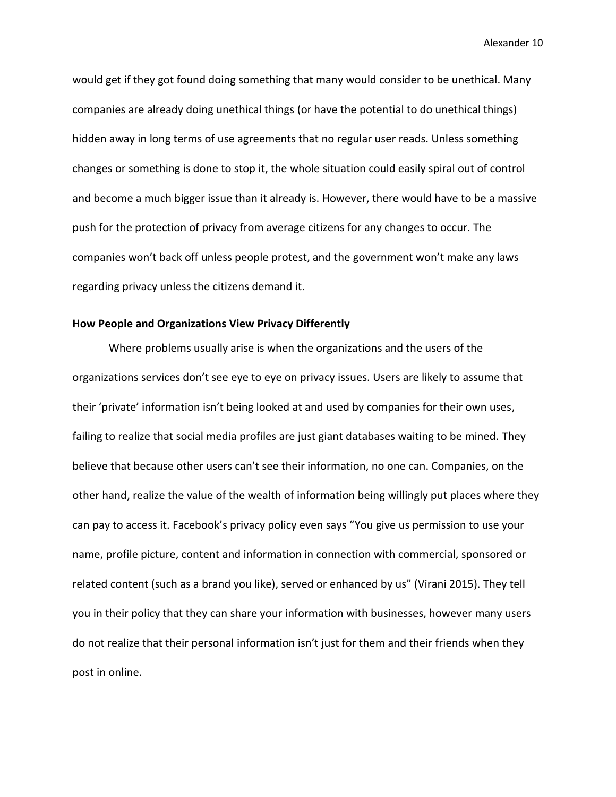would get if they got found doing something that many would consider to be unethical. Many companies are already doing unethical things (or have the potential to do unethical things) hidden away in long terms of use agreements that no regular user reads. Unless something changes or something is done to stop it, the whole situation could easily spiral out of control and become a much bigger issue than it already is. However, there would have to be a massive push for the protection of privacy from average citizens for any changes to occur. The companies won't back off unless people protest, and the government won't make any laws regarding privacy unless the citizens demand it.

#### **How People and Organizations View Privacy Differently**

Where problems usually arise is when the organizations and the users of the organizations services don't see eye to eye on privacy issues. Users are likely to assume that their 'private' information isn't being looked at and used by companies for their own uses, failing to realize that social media profiles are just giant databases waiting to be mined. They believe that because other users can't see their information, no one can. Companies, on the other hand, realize the value of the wealth of information being willingly put places where they can pay to access it. Facebook's privacy policy even says "You give us permission to use your name, profile picture, content and information in connection with commercial, sponsored or related content (such as a brand you like), served or enhanced by us" (Virani 2015). They tell you in their policy that they can share your information with businesses, however many users do not realize that their personal information isn't just for them and their friends when they post in online.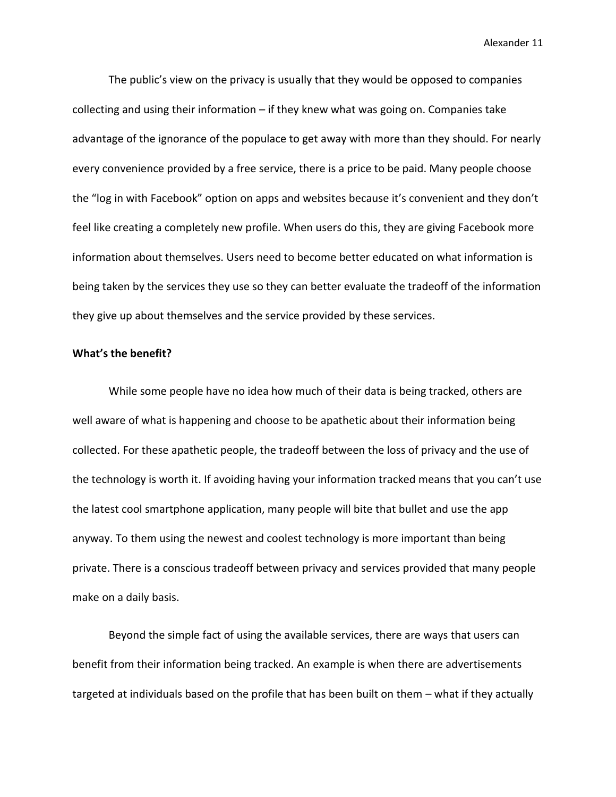The public's view on the privacy is usually that they would be opposed to companies collecting and using their information – if they knew what was going on. Companies take advantage of the ignorance of the populace to get away with more than they should. For nearly every convenience provided by a free service, there is a price to be paid. Many people choose the "log in with Facebook" option on apps and websites because it's convenient and they don't feel like creating a completely new profile. When users do this, they are giving Facebook more information about themselves. Users need to become better educated on what information is being taken by the services they use so they can better evaluate the tradeoff of the information they give up about themselves and the service provided by these services.

#### **What's the benefit?**

While some people have no idea how much of their data is being tracked, others are well aware of what is happening and choose to be apathetic about their information being collected. For these apathetic people, the tradeoff between the loss of privacy and the use of the technology is worth it. If avoiding having your information tracked means that you can't use the latest cool smartphone application, many people will bite that bullet and use the app anyway. To them using the newest and coolest technology is more important than being private. There is a conscious tradeoff between privacy and services provided that many people make on a daily basis.

Beyond the simple fact of using the available services, there are ways that users can benefit from their information being tracked. An example is when there are advertisements targeted at individuals based on the profile that has been built on them – what if they actually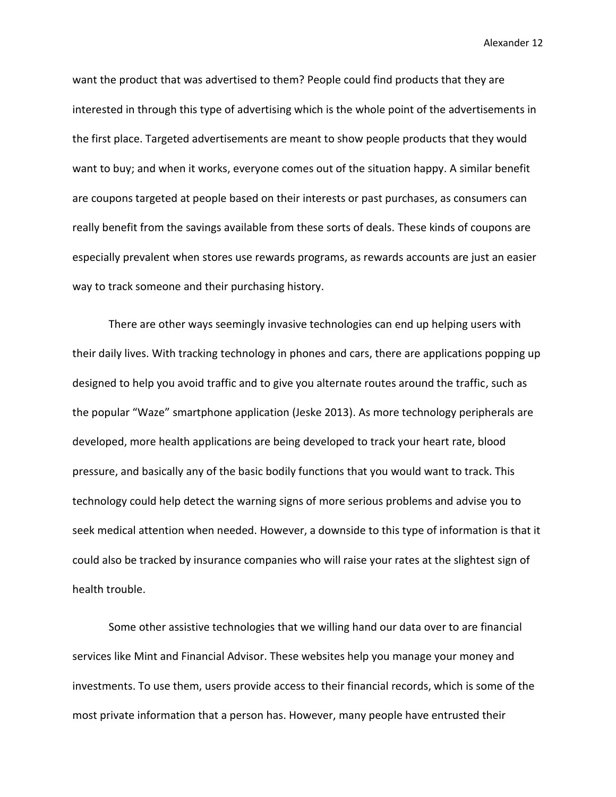want the product that was advertised to them? People could find products that they are interested in through this type of advertising which is the whole point of the advertisements in the first place. Targeted advertisements are meant to show people products that they would want to buy; and when it works, everyone comes out of the situation happy. A similar benefit are coupons targeted at people based on their interests or past purchases, as consumers can really benefit from the savings available from these sorts of deals. These kinds of coupons are especially prevalent when stores use rewards programs, as rewards accounts are just an easier way to track someone and their purchasing history.

There are other ways seemingly invasive technologies can end up helping users with their daily lives. With tracking technology in phones and cars, there are applications popping up designed to help you avoid traffic and to give you alternate routes around the traffic, such as the popular "Waze" smartphone application (Jeske 2013). As more technology peripherals are developed, more health applications are being developed to track your heart rate, blood pressure, and basically any of the basic bodily functions that you would want to track. This technology could help detect the warning signs of more serious problems and advise you to seek medical attention when needed. However, a downside to this type of information is that it could also be tracked by insurance companies who will raise your rates at the slightest sign of health trouble.

Some other assistive technologies that we willing hand our data over to are financial services like Mint and Financial Advisor. These websites help you manage your money and investments. To use them, users provide access to their financial records, which is some of the most private information that a person has. However, many people have entrusted their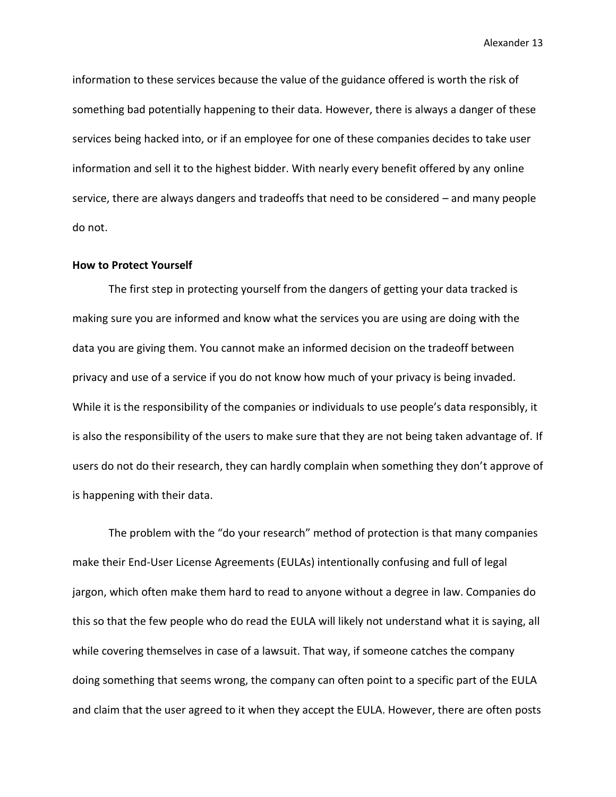information to these services because the value of the guidance offered is worth the risk of something bad potentially happening to their data. However, there is always a danger of these services being hacked into, or if an employee for one of these companies decides to take user information and sell it to the highest bidder. With nearly every benefit offered by any online service, there are always dangers and tradeoffs that need to be considered – and many people do not.

#### **How to Protect Yourself**

The first step in protecting yourself from the dangers of getting your data tracked is making sure you are informed and know what the services you are using are doing with the data you are giving them. You cannot make an informed decision on the tradeoff between privacy and use of a service if you do not know how much of your privacy is being invaded. While it is the responsibility of the companies or individuals to use people's data responsibly, it is also the responsibility of the users to make sure that they are not being taken advantage of. If users do not do their research, they can hardly complain when something they don't approve of is happening with their data.

The problem with the "do your research" method of protection is that many companies make their End-User License Agreements (EULAs) intentionally confusing and full of legal jargon, which often make them hard to read to anyone without a degree in law. Companies do this so that the few people who do read the EULA will likely not understand what it is saying, all while covering themselves in case of a lawsuit. That way, if someone catches the company doing something that seems wrong, the company can often point to a specific part of the EULA and claim that the user agreed to it when they accept the EULA. However, there are often posts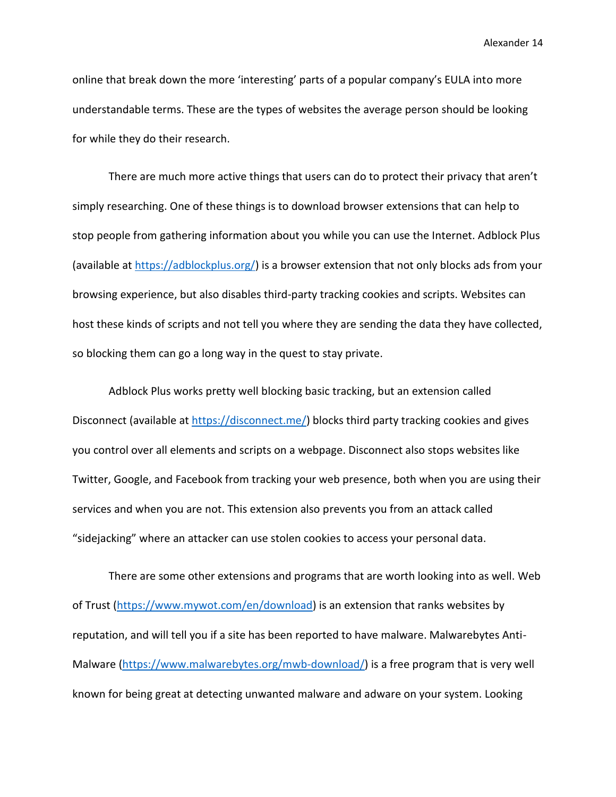online that break down the more 'interesting' parts of a popular company's EULA into more understandable terms. These are the types of websites the average person should be looking for while they do their research.

There are much more active things that users can do to protect their privacy that aren't simply researching. One of these things is to download browser extensions that can help to stop people from gathering information about you while you can use the Internet. Adblock Plus (available at [https://adblockplus.org/\)](https://adblockplus.org/) is a browser extension that not only blocks ads from your browsing experience, but also disables third-party tracking cookies and scripts. Websites can host these kinds of scripts and not tell you where they are sending the data they have collected, so blocking them can go a long way in the quest to stay private.

Adblock Plus works pretty well blocking basic tracking, but an extension called Disconnect (available at [https://disconnect.me/\)](https://disconnect.me/) blocks third party tracking cookies and gives you control over all elements and scripts on a webpage. Disconnect also stops websites like Twitter, Google, and Facebook from tracking your web presence, both when you are using their services and when you are not. This extension also prevents you from an attack called "sidejacking" where an attacker can use stolen cookies to access your personal data.

There are some other extensions and programs that are worth looking into as well. Web of Trust [\(https://www.mywot.com/en/download\)](https://www.mywot.com/en/download) is an extension that ranks websites by reputation, and will tell you if a site has been reported to have malware. Malwarebytes Anti-Malware [\(https://www.malwarebytes.org/mwb-download/\)](https://www.malwarebytes.org/mwb-download/) is a free program that is very well known for being great at detecting unwanted malware and adware on your system. Looking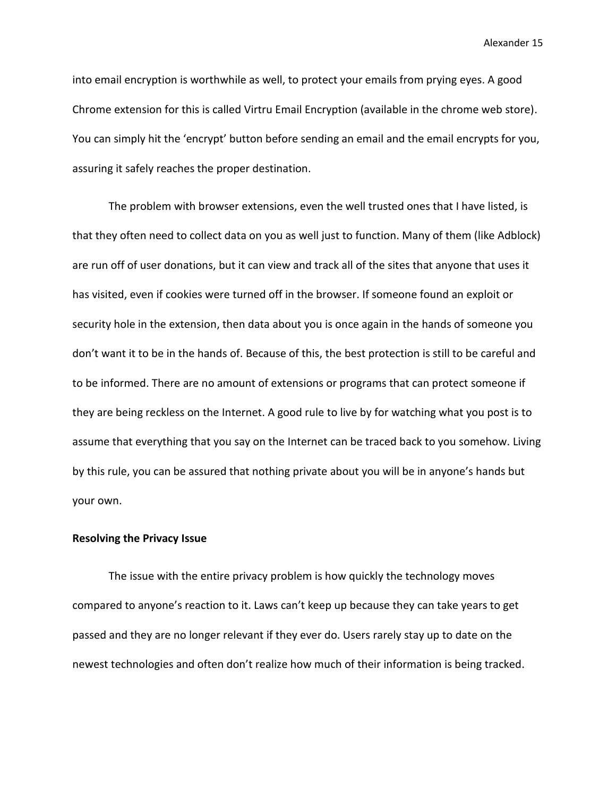into email encryption is worthwhile as well, to protect your emails from prying eyes. A good Chrome extension for this is called Virtru Email Encryption (available in the chrome web store). You can simply hit the 'encrypt' button before sending an email and the email encrypts for you, assuring it safely reaches the proper destination.

The problem with browser extensions, even the well trusted ones that I have listed, is that they often need to collect data on you as well just to function. Many of them (like Adblock) are run off of user donations, but it can view and track all of the sites that anyone that uses it has visited, even if cookies were turned off in the browser. If someone found an exploit or security hole in the extension, then data about you is once again in the hands of someone you don't want it to be in the hands of. Because of this, the best protection is still to be careful and to be informed. There are no amount of extensions or programs that can protect someone if they are being reckless on the Internet. A good rule to live by for watching what you post is to assume that everything that you say on the Internet can be traced back to you somehow. Living by this rule, you can be assured that nothing private about you will be in anyone's hands but your own.

#### **Resolving the Privacy Issue**

The issue with the entire privacy problem is how quickly the technology moves compared to anyone's reaction to it. Laws can't keep up because they can take years to get passed and they are no longer relevant if they ever do. Users rarely stay up to date on the newest technologies and often don't realize how much of their information is being tracked.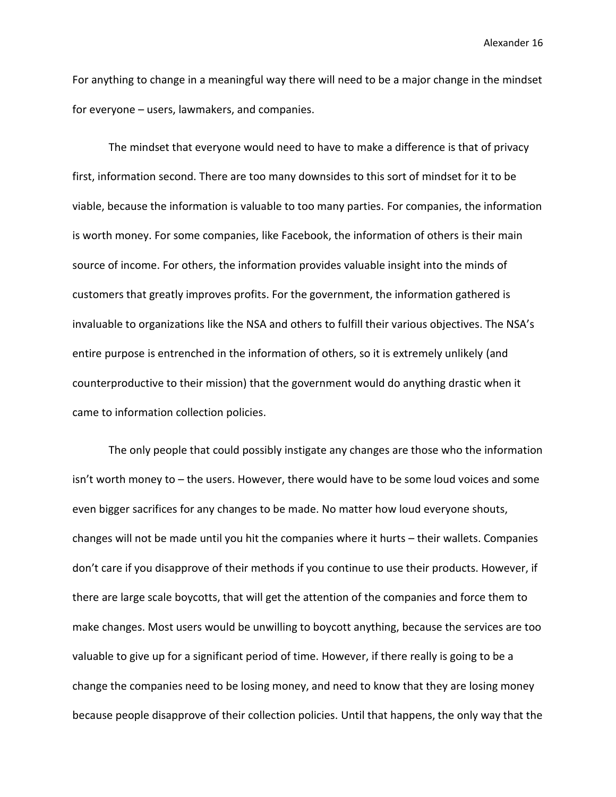For anything to change in a meaningful way there will need to be a major change in the mindset for everyone – users, lawmakers, and companies.

The mindset that everyone would need to have to make a difference is that of privacy first, information second. There are too many downsides to this sort of mindset for it to be viable, because the information is valuable to too many parties. For companies, the information is worth money. For some companies, like Facebook, the information of others is their main source of income. For others, the information provides valuable insight into the minds of customers that greatly improves profits. For the government, the information gathered is invaluable to organizations like the NSA and others to fulfill their various objectives. The NSA's entire purpose is entrenched in the information of others, so it is extremely unlikely (and counterproductive to their mission) that the government would do anything drastic when it came to information collection policies.

The only people that could possibly instigate any changes are those who the information isn't worth money to – the users. However, there would have to be some loud voices and some even bigger sacrifices for any changes to be made. No matter how loud everyone shouts, changes will not be made until you hit the companies where it hurts – their wallets. Companies don't care if you disapprove of their methods if you continue to use their products. However, if there are large scale boycotts, that will get the attention of the companies and force them to make changes. Most users would be unwilling to boycott anything, because the services are too valuable to give up for a significant period of time. However, if there really is going to be a change the companies need to be losing money, and need to know that they are losing money because people disapprove of their collection policies. Until that happens, the only way that the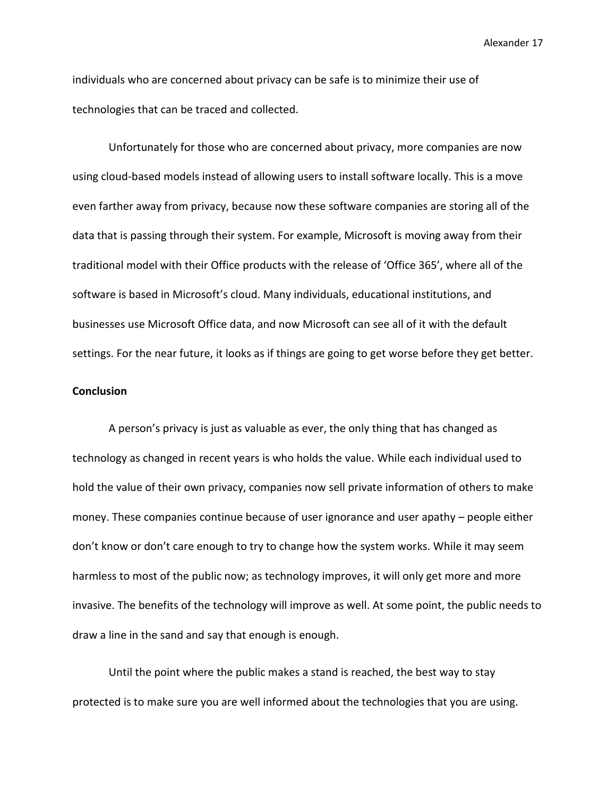individuals who are concerned about privacy can be safe is to minimize their use of technologies that can be traced and collected.

Unfortunately for those who are concerned about privacy, more companies are now using cloud-based models instead of allowing users to install software locally. This is a move even farther away from privacy, because now these software companies are storing all of the data that is passing through their system. For example, Microsoft is moving away from their traditional model with their Office products with the release of 'Office 365', where all of the software is based in Microsoft's cloud. Many individuals, educational institutions, and businesses use Microsoft Office data, and now Microsoft can see all of it with the default settings. For the near future, it looks as if things are going to get worse before they get better.

#### **Conclusion**

A person's privacy is just as valuable as ever, the only thing that has changed as technology as changed in recent years is who holds the value. While each individual used to hold the value of their own privacy, companies now sell private information of others to make money. These companies continue because of user ignorance and user apathy – people either don't know or don't care enough to try to change how the system works. While it may seem harmless to most of the public now; as technology improves, it will only get more and more invasive. The benefits of the technology will improve as well. At some point, the public needs to draw a line in the sand and say that enough is enough.

Until the point where the public makes a stand is reached, the best way to stay protected is to make sure you are well informed about the technologies that you are using.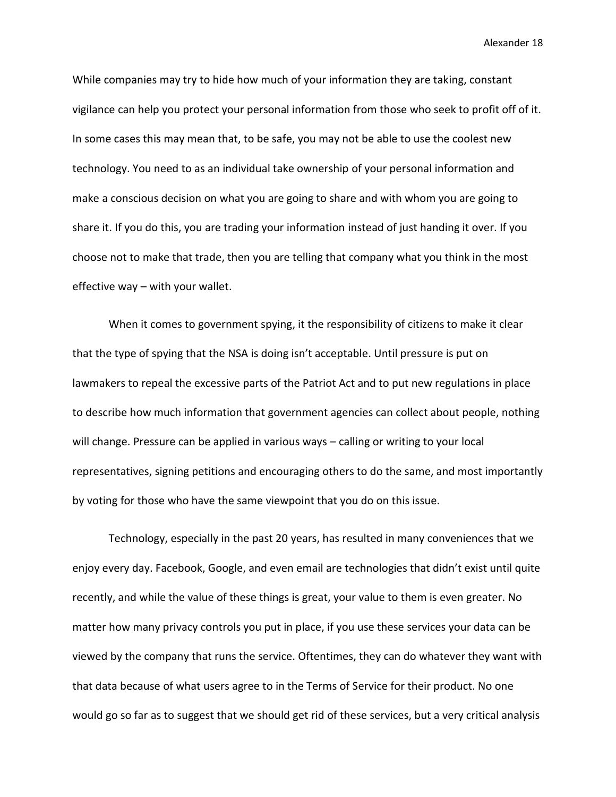While companies may try to hide how much of your information they are taking, constant vigilance can help you protect your personal information from those who seek to profit off of it. In some cases this may mean that, to be safe, you may not be able to use the coolest new technology. You need to as an individual take ownership of your personal information and make a conscious decision on what you are going to share and with whom you are going to share it. If you do this, you are trading your information instead of just handing it over. If you choose not to make that trade, then you are telling that company what you think in the most effective way – with your wallet.

When it comes to government spying, it the responsibility of citizens to make it clear that the type of spying that the NSA is doing isn't acceptable. Until pressure is put on lawmakers to repeal the excessive parts of the Patriot Act and to put new regulations in place to describe how much information that government agencies can collect about people, nothing will change. Pressure can be applied in various ways - calling or writing to your local representatives, signing petitions and encouraging others to do the same, and most importantly by voting for those who have the same viewpoint that you do on this issue.

Technology, especially in the past 20 years, has resulted in many conveniences that we enjoy every day. Facebook, Google, and even email are technologies that didn't exist until quite recently, and while the value of these things is great, your value to them is even greater. No matter how many privacy controls you put in place, if you use these services your data can be viewed by the company that runs the service. Oftentimes, they can do whatever they want with that data because of what users agree to in the Terms of Service for their product. No one would go so far as to suggest that we should get rid of these services, but a very critical analysis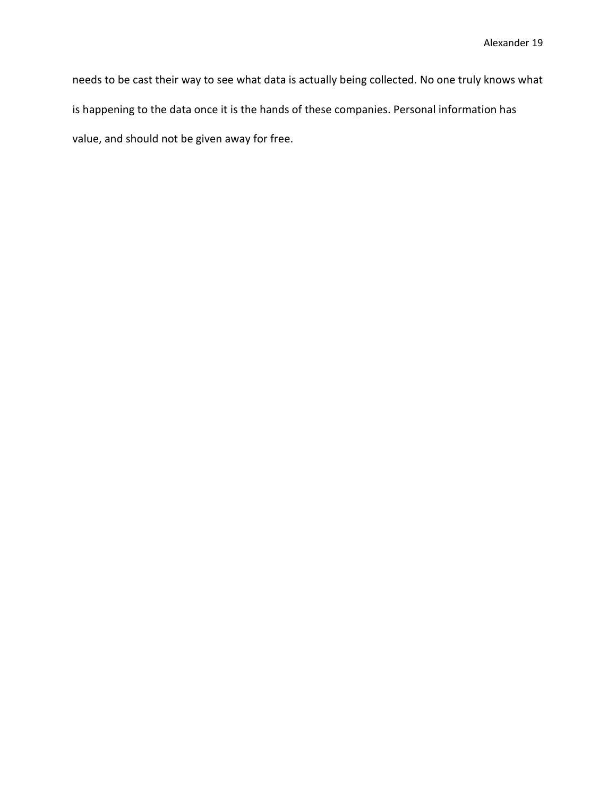needs to be cast their way to see what data is actually being collected. No one truly knows what is happening to the data once it is the hands of these companies. Personal information has value, and should not be given away for free.